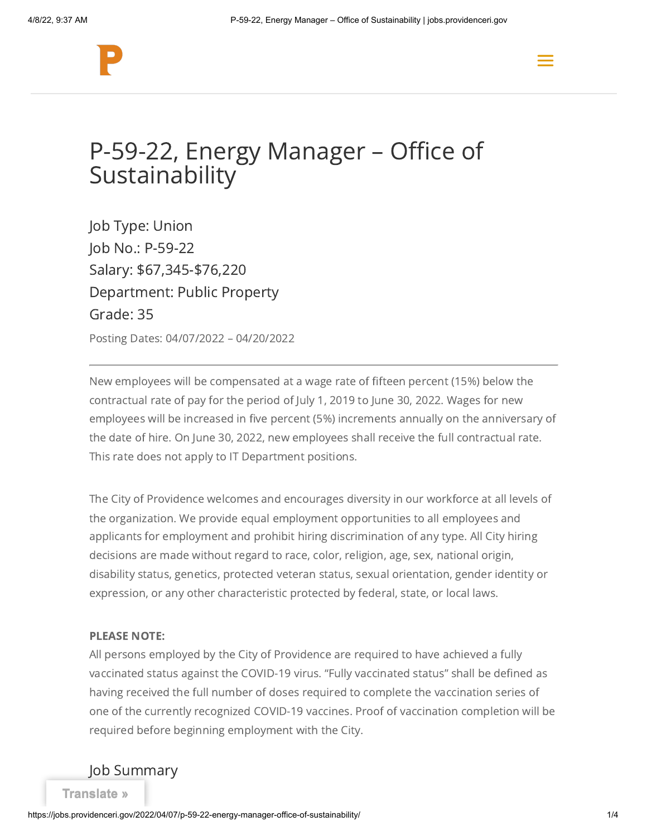



# P-59-22, Energy Manager – Office of **Sustainability**

Job Type: Union Job No.: P-59-22 Salary: \$67,345-\$76,220 Department: Public Property Grade: 35

Posting Dates: 04/07/2022 – 04/20/2022

New employees will be compensated at a wage rate of fifteen percent (15%) below the contractual rate of pay for the period of July 1, 2019 to June 30, 2022. Wages for new employees will be increased in five percent (5%) increments annually on the anniversary of the date of hire. On June 30, 2022, new employees shall receive the full contractual rate. This rate does not apply to IT Department positions.

The City of Providence welcomes and encourages diversity in our workforce at all levels of the organization. We provide equal employment opportunities to all employees and applicants for employment and prohibit hiring discrimination of any type. All City hiring decisions are made without regard to race, color, religion, age, sex, national origin, disability status, genetics, protected veteran status, sexual orientation, gender identity or expression, or any other characteristic protected by federal, state, or local laws.

#### PLEASE NOTE:

All persons employed by the City of Providence are required to have achieved a fully vaccinated status against the COVID-19 virus. "Fully vaccinated status" shall be defined as having received the full number of doses required to complete the vaccination series of one of the currently recognized COVID-19 vaccines. Proof of vaccination completion will be required before beginning employment with the City.

Job Summary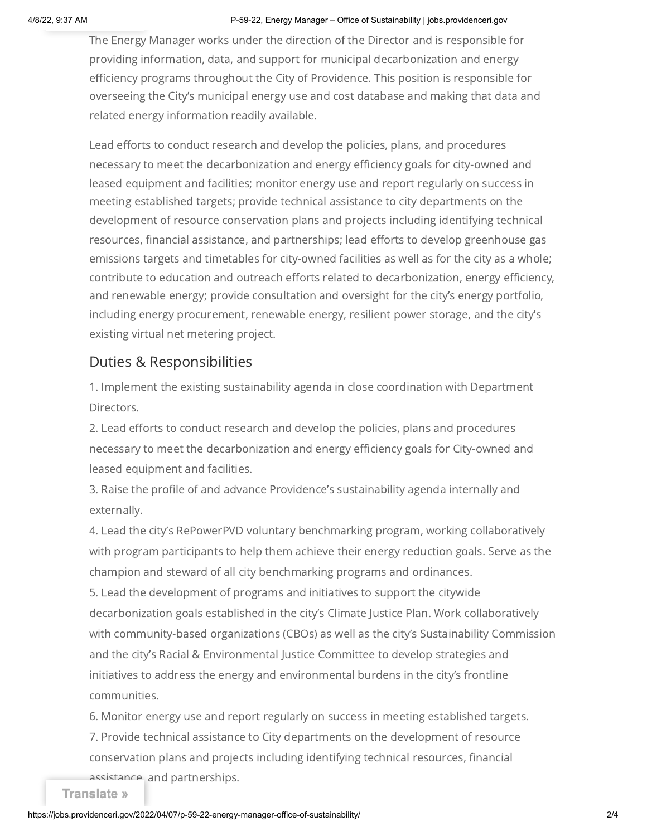#### 4/8/22, 9:37 AM P-59-22, Energy Manager – Office of Sustainability | jobs.providenceri.gov

The Energy Manager works under the direction of the Director and is responsible for providing information, data, and support for municipal decarbonization and energy efficiency programs throughout the City of Providence. This position is responsible for overseeing the City's municipal energy use and cost database and making that data and related energy information readily available.

Lead efforts to conduct research and develop the policies, plans, and procedures necessary to meet the decarbonization and energy efficiency goals for city-owned and leased equipment and facilities; monitor energy use and report regularly on success in meeting established targets; provide technical assistance to city departments on the development of resource conservation plans and projects including identifying technical resources, financial assistance, and partnerships; lead efforts to develop greenhouse gas emissions targets and timetables for city-owned facilities as well as for the city as a whole; contribute to education and outreach efforts related to decarbonization, energy efficiency, and renewable energy; provide consultation and oversight for the city's energy portfolio, including energy procurement, renewable energy, resilient power storage, and the city's existing virtual net metering project.

### Duties & Responsibilities

1. Implement the existing sustainability agenda in close coordination with Department Directors.

2. Lead efforts to conduct research and develop the policies, plans and procedures necessary to meet the decarbonization and energy efficiency goals for City-owned and leased equipment and facilities.

3. Raise the profile of and advance Providence's sustainability agenda internally and externally.

4. Lead the city's RePowerPVD voluntary benchmarking program, working collaboratively with program participants to help them achieve their energy reduction goals. Serve as the champion and steward of all city benchmarking programs and ordinances. 5. Lead the development of programs and initiatives to support the citywide decarbonization goals established in the city's Climate Justice Plan. Work collaboratively with community-based organizations (CBOs) as well as the city's Sustainability Commission and the city's Racial & Environmental Justice Committee to develop strategies and initiatives to address the energy and environmental burdens in the city's frontline communities.

6. Monitor energy use and report regularly on success in meeting established targets. 7. Provide technical assistance to City departments on the development of resource conservation plans and projects including identifying technical resources, financial

assistance, and partnerships.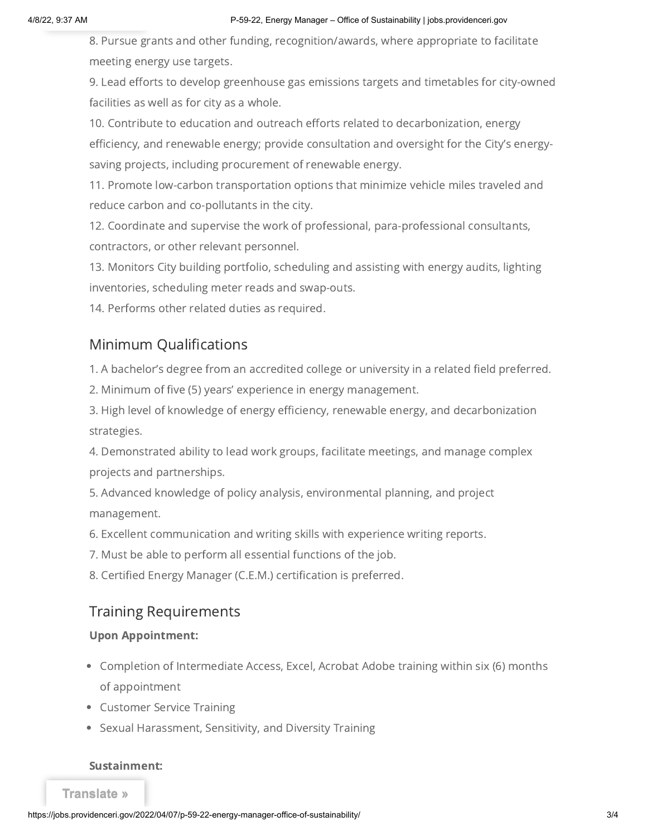8. Pursue grants and other funding, recognition/awards, where appropriate to facilitate meeting energy use targets.

9. Lead efforts to develop greenhouse gas emissions targets and timetables for city-owned facilities as well as for city as a whole.

10. Contribute to education and outreach efforts related to decarbonization, energy efficiency, and renewable energy; provide consultation and oversight for the City's energysaving projects, including procurement of renewable energy.

11. Promote low-carbon transportation options that minimize vehicle miles traveled and reduce carbon and co-pollutants in the city.

12. Coordinate and supervise the work of professional, para-professional consultants, contractors, or other relevant personnel.

13. Monitors City building portfolio, scheduling and assisting with energy audits, lighting inventories, scheduling meter reads and swap-outs.

14. Performs other related duties as required.

# Minimum Qualifications

1. A bachelor's degree from an accredited college or university in a related field preferred.

2. Minimum of five (5) years' experience in energy management.

3. High level of knowledge of energy efficiency, renewable energy, and decarbonization strategies.

4. Demonstrated ability to lead work groups, facilitate meetings, and manage complex projects and partnerships.

5. Advanced knowledge of policy analysis, environmental planning, and project management.

6. Excellent communication and writing skills with experience writing reports.

7. Must be able to perform all essential functions of the job.

8. Certified Energy Manager (C.E.M.) certification is preferred.

## Training Requirements

### Upon Appointment:

- Completion of Intermediate Access, Excel, Acrobat Adobe training within six (6) months of appointment
- Customer Service Training
- Sexual Harassment, Sensitivity, and Diversity Training

### Sustainment: